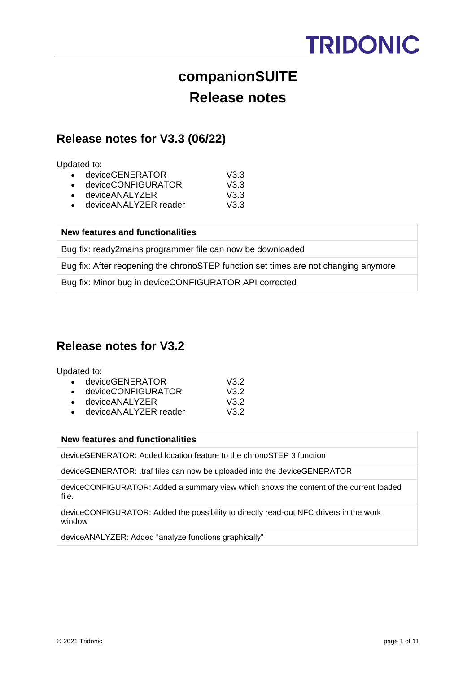

# **companionSUITE Release notes**

## **Release notes for V3.3 (06/22)**

## Updated to:

| deviceGENERATOR     | V3.3 |
|---------------------|------|
| doviooCONEICLIDATOD | פ מו |

- deviceCONFIGURATOR V3.3 • deviceANALYZER V3.3
- deviceANALYZER reader V3.3

## **New features and functionalities**

Bug fix: ready2mains programmer file can now be downloaded

Bug fix: After reopening the chronoSTEP function set times are not changing anymore

Bug fix: Minor bug in deviceCONFIGURATOR API corrected

# **Release notes for V3.2**

Updated to:

| $\bullet$ | deviceGENERATOR       | V3.2 |
|-----------|-----------------------|------|
|           | • deviceCONFIGURATOR  | V3.2 |
|           | • deviceANALYZER      | V3.2 |
| $\bullet$ | deviceANALYZER reader | V3.2 |

## **New features and functionalities**

deviceGENERATOR: Added location feature to the chronoSTEP 3 function

deviceGENERATOR: .traf files can now be uploaded into the deviceGENERATOR

deviceCONFIGURATOR: Added a summary view which shows the content of the current loaded file.

deviceCONFIGURATOR: Added the possibility to directly read-out NFC drivers in the work window

deviceANALYZER: Added "analyze functions graphically"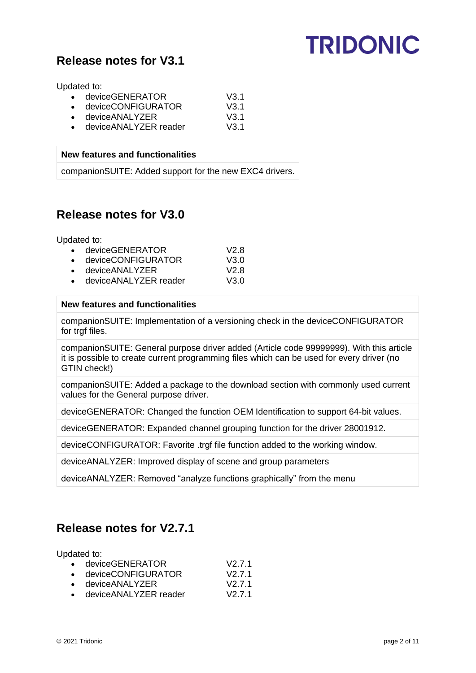# **Release notes for V3.1**

Updated to:

| deviceGENERATOR    | V3.1 |
|--------------------|------|
| deviceCONFIGURATOR | V3.1 |

- deviceANALYZER V3.1
- deviceANALYZER reader V3.1

## **New features and functionalities**

companionSUITE: Added support for the new EXC4 drivers.

## **Release notes for V3.0**

Updated to:

| $\bullet$ device GENERATOR | V2.8              |
|----------------------------|-------------------|
| • deviceCONFIGURATOR       | V <sub>3</sub> .0 |
| • deviceANALYZER           | V2.8              |
| • deviceANALYZER reader    | V3.0              |

## **New features and functionalities**

companionSUITE: Implementation of a versioning check in the deviceCONFIGURATOR for trgf files.

companionSUITE: General purpose driver added (Article code 99999999). With this article it is possible to create current programming files which can be used for every driver (no GTIN check!)

companionSUITE: Added a package to the download section with commonly used current values for the General purpose driver.

deviceGENERATOR: Changed the function OEM Identification to support 64-bit values.

deviceGENERATOR: Expanded channel grouping function for the driver 28001912.

deviceCONFIGURATOR: Favorite .trgf file function added to the working window.

deviceANALYZER: Improved display of scene and group parameters

deviceANALYZER: Removed "analyze functions graphically" from the menu

# **Release notes for V2.7.1**

Updated to:

| deviceGENERATOR    | V2.7.1 |
|--------------------|--------|
| deviceCONFIGURATOR | V2.7.1 |

- deviceANALYZER V2.7.1
- deviceANALYZER reader V2.7.1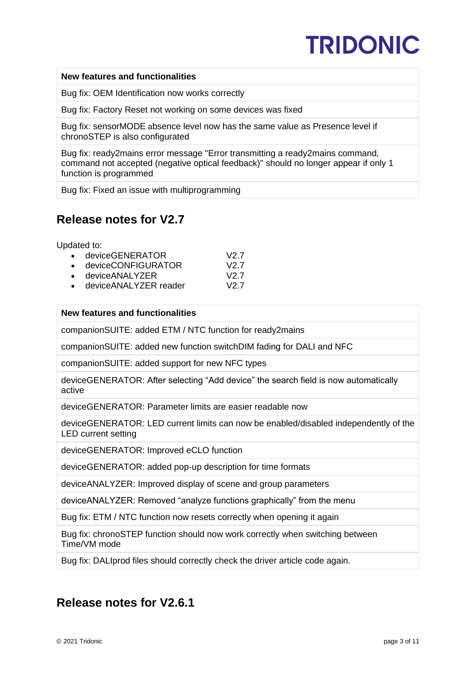## **New features and functionalities**

Bug fix: OEM Identification now works correctly

Bug fix: Factory Reset not working on some devices was fixed

Bug fix: sensorMODE absence level now has the same value as Presence level if chronoSTEP is also configurated

Bug fix: ready2mains error message "Error transmitting a ready2mains command, command not accepted (negative optical feedback)" should no longer appear if only 1 function is programmed

Bug fix: Fixed an issue with multiprogramming

## **Release notes for V2.7**

Updated to:

| $\bullet$ deviceGENERATOR | V2 7 |
|---------------------------|------|
| • deviceCONFIGURATOR      | V2.7 |
| $\bullet$ device ANALYZER | V2 7 |
| • deviceANALYZER reader   | V2 7 |

## **New features and functionalities**

companionSUITE: added ETM / NTC function for ready2mains

companionSUITE: added new function switchDIM fading for DALI and NFC

companionSUITE: added support for new NFC types

deviceGENERATOR: After selecting "Add device" the search field is now automatically active

deviceGENERATOR: Parameter limits are easier readable now

deviceGENERATOR: LED current limits can now be enabled/disabled independently of the LED current setting

deviceGENERATOR: Improved eCLO function

deviceGENERATOR: added pop-up description for time formats

deviceANALYZER: Improved display of scene and group parameters

deviceANALYZER: Removed "analyze functions graphically" from the menu

Bug fix: ETM / NTC function now resets correctly when opening it again

Bug fix: chronoSTEP function should now work correctly when switching between Time/VM mode

Bug fix: DALIprod files should correctly check the driver article code again.

## **Release notes for V2.6.1**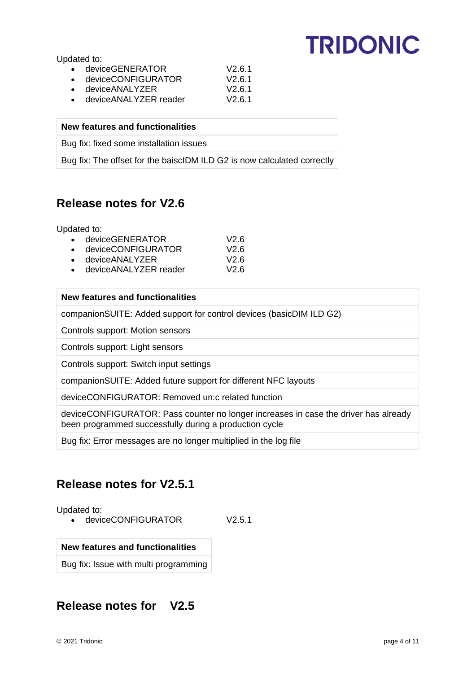Updated to:

- deviceGENERATOR V2.6.1
- deviceCONFIGURATOR V2.6.1 • deviceANALYZER V2.6.1
- deviceANALYZER reader V2.6.1

## **New features and functionalities**

Bug fix: fixed some installation issues

Bug fix: The offset for the baiscIDM ILD G2 is now calculated correctly

# **Release notes for V2.6**

Updated to:

| • deviceGENERATOR         | V2.6 |
|---------------------------|------|
| • deviceCONFIGURATOR      | V2.6 |
| $\bullet$ device ANALYZER | V2.6 |
| • deviceANALYZER reader   | V2.6 |

## **New features and functionalities**

companionSUITE: Added support for control devices (basicDIM ILD G2)

Controls support: Motion sensors

Controls support: Light sensors

Controls support: Switch input settings

companionSUITE: Added future support for different NFC layouts

deviceCONFIGURATOR: Removed un:c related function

deviceCONFIGURATOR: Pass counter no longer increases in case the driver has already been programmed successfully during a production cycle

Bug fix: Error messages are no longer multiplied in the log file

# **Release notes for V2.5.1**

Updated to:

• deviceCONFIGURATOR V2.5.1

## **New features and functionalities**

Bug fix: Issue with multi programming

# **Release notes for V2.5**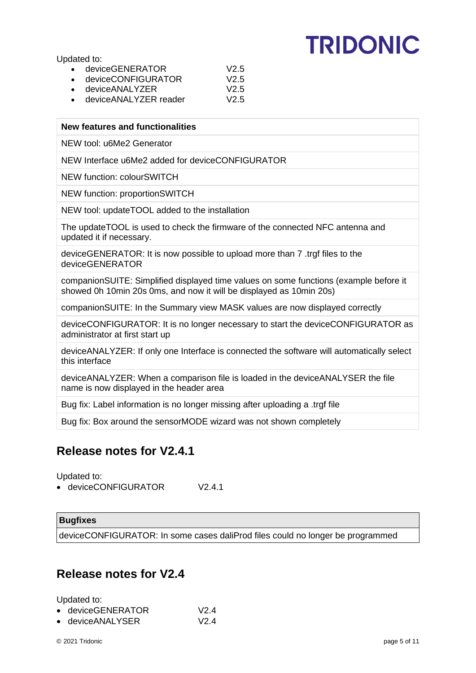Updated to:

- deviceGENERATOR V2.5
- deviceCONFIGURATOR V2.5
- deviceANALYZER V2.5
- deviceANALYZER reader V2.5

## **New features and functionalities**

NEW tool: u6Me2 Generator

NEW Interface u6Me2 added for deviceCONFIGURATOR

NEW function: colourSWITCH

NEW function: proportionSWITCH

NEW tool: updateTOOL added to the installation

The updateTOOL is used to check the firmware of the connected NFC antenna and updated it if necessary.

deviceGENERATOR: It is now possible to upload more than 7 .trgf files to the deviceGENERATOR

companionSUITE: Simplified displayed time values on some functions (example before it showed 0h 10min 20s 0ms, and now it will be displayed as 10min 20s)

companionSUITE: In the Summary view MASK values are now displayed correctly

deviceCONFIGURATOR: It is no longer necessary to start the deviceCONFIGURATOR as administrator at first start up

deviceANALYZER: If only one Interface is connected the software will automatically select this interface

deviceANALYZER: When a comparison file is loaded in the deviceANALYSER the file name is now displayed in the header area

Bug fix: Label information is no longer missing after uploading a .trgf file

Bug fix: Box around the sensorMODE wizard was not shown completely

## **Release notes for V2.4.1**

Updated to:

• deviceCONFIGURATOR V2.4.1

## **Bugfixes**

deviceCONFIGURATOR: In some cases daliProd files could no longer be programmed

## **Release notes for V2.4**

Updated to:

- deviceGENERATOR V2.4
- deviceANALYSER V2.4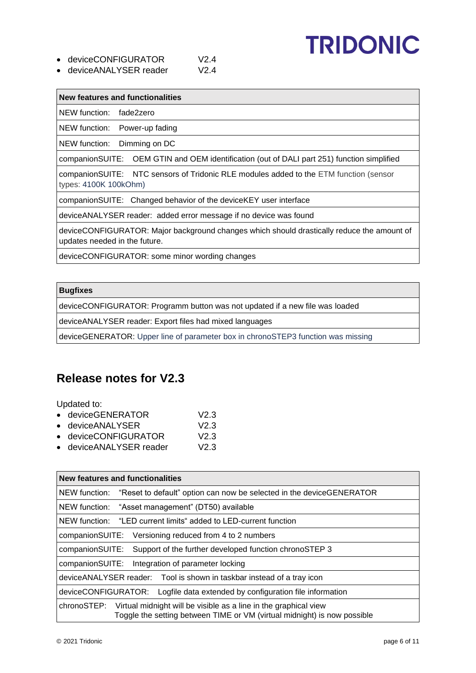|  | deviceCONFIGURATOR | V2.4 |
|--|--------------------|------|
|--|--------------------|------|

• deviceANALYSER reader V2.4

## **New features and functionalities**

NEW function: fade2zero

NEW function: Power-up fading

NEW function: Dimming on DC

companionSUITE: OEM GTIN and OEM identification (out of DALI part 251) function simplified

companionSUITE: NTC sensors of Tridonic RLE modules added to the ETM function (sensor types: 4100K 100kOhm)

companionSUITE: Changed behavior of the deviceKEY user interface

deviceANALYSER reader: added error message if no device was found

deviceCONFIGURATOR: Major background changes which should drastically reduce the amount of updates needed in the future.

deviceCONFIGURATOR: some minor wording changes

### **Bugfixes**

deviceCONFIGURATOR: Programm button was not updated if a new file was loaded

deviceANALYSER reader: Export files had mixed languages

deviceGENERATOR: Upper line of parameter box in chronoSTEP3 function was missing

## **Release notes for V2.3**

Updated to:

- deviceGENERATOR V2.3
- deviceANALYSER V2.3
- deviceCONFIGURATOR V2.3
- deviceANALYSER reader V2.3

| New features and functionalities                                                                                                                            |
|-------------------------------------------------------------------------------------------------------------------------------------------------------------|
| NEW function: "Reset to default" option can now be selected in the deviceGENERATOR                                                                          |
| NEW function: "Asset management" (DT50) available                                                                                                           |
| NEW function: "LED current limits" added to LED-current function                                                                                            |
| companionSUITE: Versioning reduced from 4 to 2 numbers                                                                                                      |
| companionSUITE: Support of the further developed function chronoSTEP 3                                                                                      |
| companionSUITE: Integration of parameter locking                                                                                                            |
| device ANALYSER reader: Tool is shown in taskbar instead of a tray icon                                                                                     |
| deviceCONFIGURATOR: Logfile data extended by configuration file information                                                                                 |
| Virtual midnight will be visible as a line in the graphical view<br>chronoSTEP:<br>Toggle the setting between TIME or VM (virtual midnight) is now possible |

# **TRIDONIC**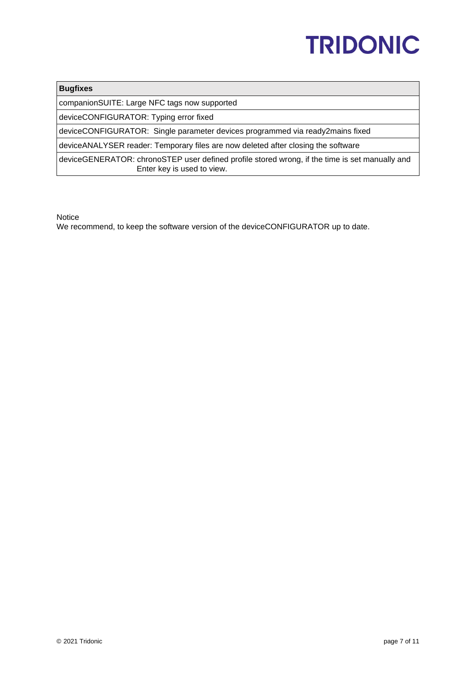

## **Bugfixes**

companionSUITE: Large NFC tags now supported

deviceCONFIGURATOR: Typing error fixed

deviceCONFIGURATOR: Single parameter devices programmed via ready2mains fixed

deviceANALYSER reader: Temporary files are now deleted after closing the software

deviceGENERATOR: chronoSTEP user defined profile stored wrong, if the time is set manually and Enter key is used to view.

**Notice** 

We recommend, to keep the software version of the deviceCONFIGURATOR up to date.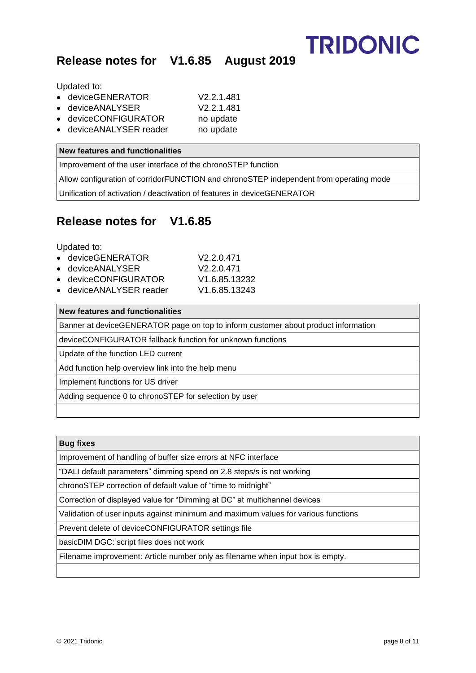# **Release notes for V1.6.85 August 2019**

Updated to:

- deviceGENERATOR V2.2.1.481
- deviceANALYSER V2.2.1.481
- deviceCONFIGURATOR no update
- deviceANALYSER reader no update

### **New features and functionalities**

Improvement of the user interface of the chronoSTEP function

Allow configuration of corridorFUNCTION and chronoSTEP independent from operating mode

Unification of activation / deactivation of features in deviceGENERATOR

## **Release notes for V1.6.85**

Updated to:

| • deviceGENERATOR       | V2.2.0.471                 |
|-------------------------|----------------------------|
| • deviceANALYSER        | V2.2.0.471                 |
| • deviceCONFIGURATOR    | V <sub>1.6.85</sub> .13232 |
| • deviceANALYSER reader | V1.6.85.13243              |

| New features and functionalities |
|----------------------------------|
|----------------------------------|

Banner at deviceGENERATOR page on top to inform customer about product information

deviceCONFIGURATOR fallback function for unknown functions

Update of the function LED current

Add function help overview link into the help menu

Implement functions for US driver

Adding sequence 0 to chronoSTEP for selection by user

### **Bug fixes**

Improvement of handling of buffer size errors at NFC interface

"DALI default parameters" dimming speed on 2.8 steps/s is not working

chronoSTEP correction of default value of "time to midnight"

Correction of displayed value for "Dimming at DC" at multichannel devices

Validation of user inputs against minimum and maximum values for various functions

Prevent delete of deviceCONFIGURATOR settings file

basicDIM DGC: script files does not work

Filename improvement: Article number only as filename when input box is empty.

**TRIDONIC**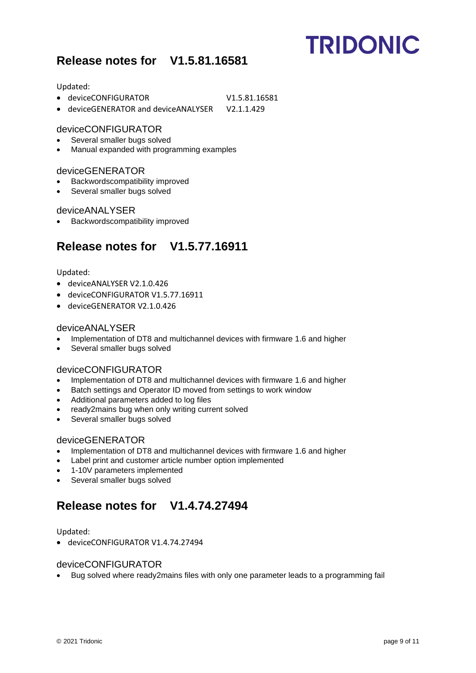# **Release notes for V1.5.81.16581**

Updated:

- deviceCONFIGURATOR V1.5.81.16581
- deviceGENERATOR and deviceANALYSER V2.1.1.429

## deviceCONFIGURATOR

- Several smaller bugs solved
- Manual expanded with programming examples

## deviceGENERATOR

- Backwordscompatibility improved
- Several smaller bugs solved

### deviceANALYSER

• Backwordscompatibility improved

## **Release notes for V1.5.77.16911**

### Updated:

- deviceANALYSER V2.1.0.426
- deviceCONFIGURATOR V1.5.77.16911
- deviceGENERATOR V2.1.0.426

## deviceANALYSER

- Implementation of DT8 and multichannel devices with firmware 1.6 and higher
- Several smaller bugs solved

## deviceCONFIGURATOR

- Implementation of DT8 and multichannel devices with firmware 1.6 and higher
- Batch settings and Operator ID moved from settings to work window
- Additional parameters added to log files
- ready2mains bug when only writing current solved
- Several smaller bugs solved

## deviceGENERATOR

- Implementation of DT8 and multichannel devices with firmware 1.6 and higher
- Label print and customer article number option implemented
- 1-10V parameters implemented
- Several smaller bugs solved

## **Release notes for V1.4.74.27494**

### Updated:

• deviceCONFIGURATOR V1.4.74.27494

## deviceCONFIGURATOR

• Bug solved where ready2mains files with only one parameter leads to a programming fail

**TRIDONIC**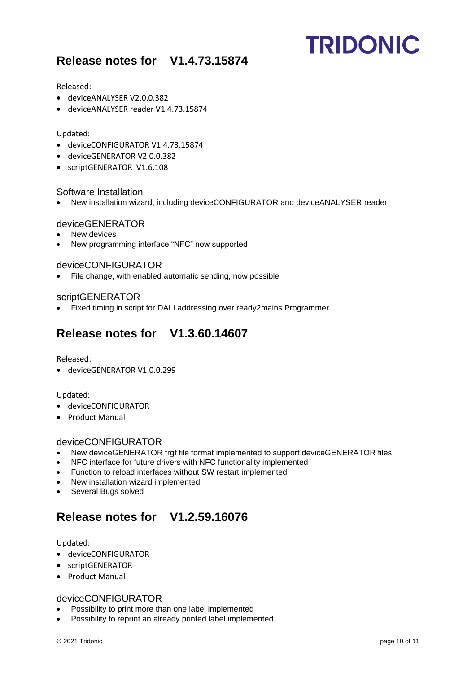# **Release notes for V1.4.73.15874**

# **TRIDONIC**

## Released:

- deviceANALYSER V2.0.0.382
- deviceANALYSER reader V1.4.73.15874

## Updated:

- deviceCONFIGURATOR V1.4.73.15874
- deviceGENERATOR V2.0.0.382
- scriptGENERATOR V1.6.108

## Software Installation

• New installation wizard, including deviceCONFIGURATOR and deviceANALYSER reader

## deviceGENERATOR

- New devices
- New programming interface "NFC" now supported

## deviceCONFIGURATOR

• File change, with enabled automatic sending, now possible

### scriptGENERATOR

• Fixed timing in script for DALI addressing over ready2mains Programmer

# **Release notes for V1.3.60.14607**

### Released:

• deviceGENERATOR V1.0.0.299

### Updated:

- deviceCONFIGURATOR
- Product Manual

## deviceCONFIGURATOR

- New deviceGENERATOR trgf file format implemented to support deviceGENERATOR files
- NFC interface for future drivers with NFC functionality implemented
- Function to reload interfaces without SW restart implemented
- New installation wizard implemented
- Several Bugs solved

# **Release notes for V1.2.59.16076**

### Updated:

- deviceCONFIGURATOR
- scriptGENERATOR
- Product Manual

## deviceCONFIGURATOR

- Possibility to print more than one label implemented
- Possibility to reprint an already printed label implemented